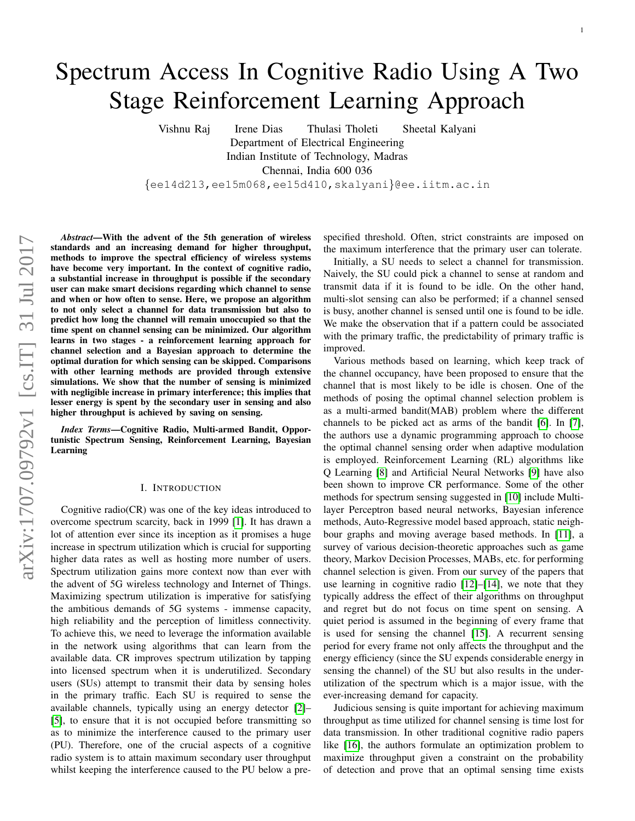# Spectrum Access In Cognitive Radio Using A Two Stage Reinforcement Learning Approach

Vishnu Raj Irene Dias Thulasi Tholeti Sheetal Kalyani Department of Electrical Engineering Indian Institute of Technology, Madras Chennai, India 600 036 {ee14d213,ee15m068,ee15d410,skalyani}@ee.iitm.ac.in

*Abstract*—With the advent of the 5th generation of wireless standards and an increasing demand for higher throughput, methods to improve the spectral efficiency of wireless systems have become very important. In the context of cognitive radio, a substantial increase in throughput is possible if the secondary user can make smart decisions regarding which channel to sense and when or how often to sense. Here, we propose an algorithm to not only select a channel for data transmission but also to predict how long the channel will remain unoccupied so that the time spent on channel sensing can be minimized. Our algorithm learns in two stages - a reinforcement learning approach for channel selection and a Bayesian approach to determine the optimal duration for which sensing can be skipped. Comparisons with other learning methods are provided through extensive simulations. We show that the number of sensing is minimized with negligible increase in primary interference; this implies that lesser energy is spent by the secondary user in sensing and also higher throughput is achieved by saving on sensing.

*Index Terms*—Cognitive Radio, Multi-armed Bandit, Opportunistic Spectrum Sensing, Reinforcement Learning, Bayesian Learning

#### I. INTRODUCTION

Cognitive radio(CR) was one of the key ideas introduced to overcome spectrum scarcity, back in 1999 [\[1\]](#page-10-0). It has drawn a lot of attention ever since its inception as it promises a huge increase in spectrum utilization which is crucial for supporting higher data rates as well as hosting more number of users. Spectrum utilization gains more context now than ever with the advent of 5G wireless technology and Internet of Things. Maximizing spectrum utilization is imperative for satisfying the ambitious demands of 5G systems - immense capacity, high reliability and the perception of limitless connectivity. To achieve this, we need to leverage the information available in the network using algorithms that can learn from the available data. CR improves spectrum utilization by tapping into licensed spectrum when it is underutilized. Secondary users (SUs) attempt to transmit their data by sensing holes in the primary traffic. Each SU is required to sense the available channels, typically using an energy detector [\[2\]](#page-10-1)– [\[5\]](#page-10-2), to ensure that it is not occupied before transmitting so as to minimize the interference caused to the primary user (PU). Therefore, one of the crucial aspects of a cognitive radio system is to attain maximum secondary user throughput whilst keeping the interference caused to the PU below a prespecified threshold. Often, strict constraints are imposed on the maximum interference that the primary user can tolerate.

Initially, a SU needs to select a channel for transmission. Naively, the SU could pick a channel to sense at random and transmit data if it is found to be idle. On the other hand, multi-slot sensing can also be performed; if a channel sensed is busy, another channel is sensed until one is found to be idle. We make the observation that if a pattern could be associated with the primary traffic, the predictability of primary traffic is improved.

Various methods based on learning, which keep track of the channel occupancy, have been proposed to ensure that the channel that is most likely to be idle is chosen. One of the methods of posing the optimal channel selection problem is as a multi-armed bandit(MAB) problem where the different channels to be picked act as arms of the bandit [\[6\]](#page-10-3). In [\[7\]](#page-10-4), the authors use a dynamic programming approach to choose the optimal channel sensing order when adaptive modulation is employed. Reinforcement Learning (RL) algorithms like Q Learning [\[8\]](#page-10-5) and Artificial Neural Networks [\[9\]](#page-10-6) have also been shown to improve CR performance. Some of the other methods for spectrum sensing suggested in [\[10\]](#page-11-0) include Multilayer Perceptron based neural networks, Bayesian inference methods, Auto-Regressive model based approach, static neighbour graphs and moving average based methods. In [\[11\]](#page-11-1), a survey of various decision-theoretic approaches such as game theory, Markov Decision Processes, MABs, etc. for performing channel selection is given. From our survey of the papers that use learning in cognitive radio [\[12\]](#page-11-2)–[\[14\]](#page-11-3), we note that they typically address the effect of their algorithms on throughput and regret but do not focus on time spent on sensing. A quiet period is assumed in the beginning of every frame that is used for sensing the channel [\[15\]](#page-11-4). A recurrent sensing period for every frame not only affects the throughput and the energy efficiency (since the SU expends considerable energy in sensing the channel) of the SU but also results in the underutilization of the spectrum which is a major issue, with the ever-increasing demand for capacity.

Judicious sensing is quite important for achieving maximum throughput as time utilized for channel sensing is time lost for data transmission. In other traditional cognitive radio papers like [\[16\]](#page-11-5), the authors formulate an optimization problem to maximize throughput given a constraint on the probability of detection and prove that an optimal sensing time exists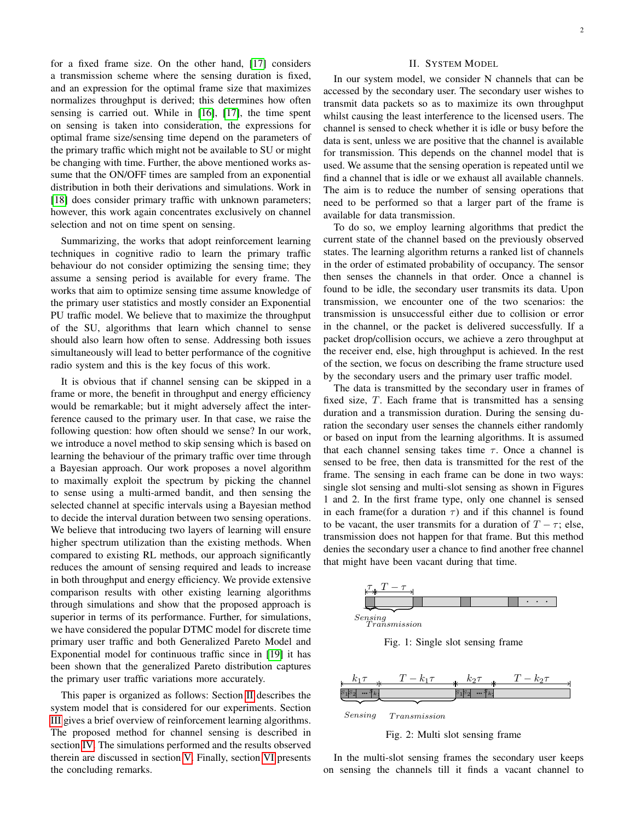for a fixed frame size. On the other hand, [\[17\]](#page-11-6) considers a transmission scheme where the sensing duration is fixed, and an expression for the optimal frame size that maximizes normalizes throughput is derived; this determines how often sensing is carried out. While in [\[16\]](#page-11-5), [\[17\]](#page-11-6), the time spent on sensing is taken into consideration, the expressions for optimal frame size/sensing time depend on the parameters of the primary traffic which might not be available to SU or might be changing with time. Further, the above mentioned works assume that the ON/OFF times are sampled from an exponential distribution in both their derivations and simulations. Work in [\[18\]](#page-11-7) does consider primary traffic with unknown parameters; however, this work again concentrates exclusively on channel selection and not on time spent on sensing.

Summarizing, the works that adopt reinforcement learning techniques in cognitive radio to learn the primary traffic behaviour do not consider optimizing the sensing time; they assume a sensing period is available for every frame. The works that aim to optimize sensing time assume knowledge of the primary user statistics and mostly consider an Exponential PU traffic model. We believe that to maximize the throughput of the SU, algorithms that learn which channel to sense should also learn how often to sense. Addressing both issues simultaneously will lead to better performance of the cognitive radio system and this is the key focus of this work.

It is obvious that if channel sensing can be skipped in a frame or more, the benefit in throughput and energy efficiency would be remarkable; but it might adversely affect the interference caused to the primary user. In that case, we raise the following question: how often should we sense? In our work, we introduce a novel method to skip sensing which is based on learning the behaviour of the primary traffic over time through a Bayesian approach. Our work proposes a novel algorithm to maximally exploit the spectrum by picking the channel to sense using a multi-armed bandit, and then sensing the selected channel at specific intervals using a Bayesian method to decide the interval duration between two sensing operations. We believe that introducing two layers of learning will ensure higher spectrum utilization than the existing methods. When compared to existing RL methods, our approach significantly reduces the amount of sensing required and leads to increase in both throughput and energy efficiency. We provide extensive comparison results with other existing learning algorithms through simulations and show that the proposed approach is superior in terms of its performance. Further, for simulations, we have considered the popular DTMC model for discrete time primary user traffic and both Generalized Pareto Model and Exponential model for continuous traffic since in [\[19\]](#page-11-8) it has been shown that the generalized Pareto distribution captures the primary user traffic variations more accurately.

This paper is organized as follows: Section [II](#page-1-0) describes the system model that is considered for our experiments. Section [III](#page-2-0) gives a brief overview of reinforcement learning algorithms. The proposed method for channel sensing is described in section [IV.](#page-3-0) The simulations performed and the results observed therein are discussed in section [V.](#page-6-0) Finally, section [VI](#page-10-7) presents the concluding remarks.

## II. SYSTEM MODEL

<span id="page-1-0"></span>In our system model, we consider N channels that can be accessed by the secondary user. The secondary user wishes to transmit data packets so as to maximize its own throughput whilst causing the least interference to the licensed users. The channel is sensed to check whether it is idle or busy before the data is sent, unless we are positive that the channel is available for transmission. This depends on the channel model that is used. We assume that the sensing operation is repeated until we find a channel that is idle or we exhaust all available channels. The aim is to reduce the number of sensing operations that need to be performed so that a larger part of the frame is available for data transmission.

To do so, we employ learning algorithms that predict the current state of the channel based on the previously observed states. The learning algorithm returns a ranked list of channels in the order of estimated probability of occupancy. The sensor then senses the channels in that order. Once a channel is found to be idle, the secondary user transmits its data. Upon transmission, we encounter one of the two scenarios: the transmission is unsuccessful either due to collision or error in the channel, or the packet is delivered successfully. If a packet drop/collision occurs, we achieve a zero throughput at the receiver end, else, high throughput is achieved. In the rest of the section, we focus on describing the frame structure used by the secondary users and the primary user traffic model.

The data is transmitted by the secondary user in frames of fixed size, T. Each frame that is transmitted has a sensing duration and a transmission duration. During the sensing duration the secondary user senses the channels either randomly or based on input from the learning algorithms. It is assumed that each channel sensing takes time  $\tau$ . Once a channel is sensed to be free, then data is transmitted for the rest of the frame. The sensing in each frame can be done in two ways: single slot sensing and multi-slot sensing as shown in Figures 1 and 2. In the first frame type, only one channel is sensed in each frame(for a duration  $\tau$ ) and if this channel is found to be vacant, the user transmits for a duration of  $T - \tau$ ; else, transmission does not happen for that frame. But this method denies the secondary user a chance to find another free channel that might have been vacant during that time.



Fig. 1: Single slot sensing frame



Sensing Transmission

Fig. 2: Multi slot sensing frame

In the multi-slot sensing frames the secondary user keeps on sensing the channels till it finds a vacant channel to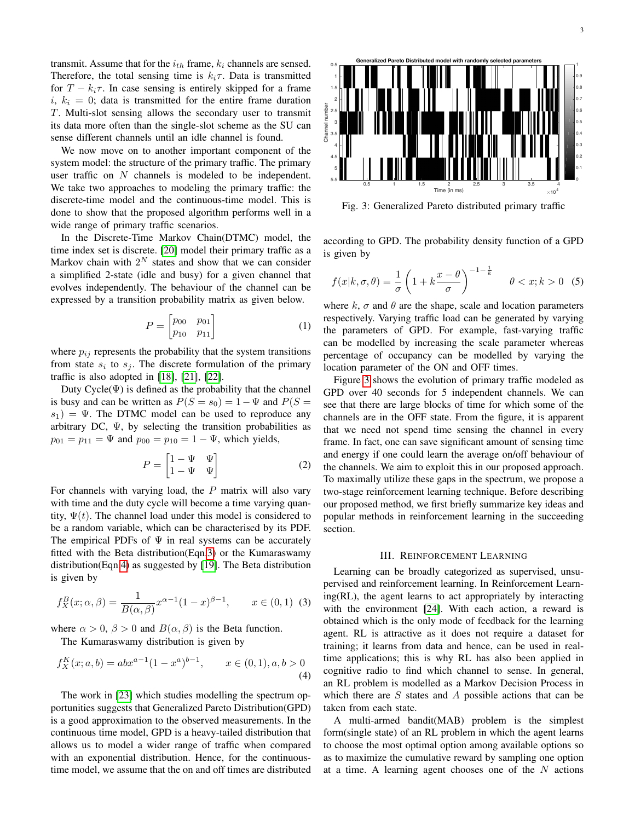transmit. Assume that for the  $i_{th}$  frame,  $k_i$  channels are sensed. Therefore, the total sensing time is  $k_i \tau$ . Data is transmitted for  $T - k_i \tau$ . In case sensing is entirely skipped for a frame  $i, k_i = 0$ ; data is transmitted for the entire frame duration T. Multi-slot sensing allows the secondary user to transmit its data more often than the single-slot scheme as the SU can sense different channels until an idle channel is found.

We now move on to another important component of the system model: the structure of the primary traffic. The primary user traffic on N channels is modeled to be independent. We take two approaches to modeling the primary traffic: the discrete-time model and the continuous-time model. This is done to show that the proposed algorithm performs well in a wide range of primary traffic scenarios.

In the Discrete-Time Markov Chain(DTMC) model, the time index set is discrete. [\[20\]](#page-11-9) model their primary traffic as a Markov chain with  $2^N$  states and show that we can consider a simplified 2-state (idle and busy) for a given channel that evolves independently. The behaviour of the channel can be expressed by a transition probability matrix as given below.

$$
P = \begin{bmatrix} p_{00} & p_{01} \\ p_{10} & p_{11} \end{bmatrix} \tag{1}
$$

where  $p_{ij}$  represents the probability that the system transitions from state  $s_i$  to  $s_j$ . The discrete formulation of the primary traffic is also adopted in [\[18\]](#page-11-7), [\[21\]](#page-11-10), [\[22\]](#page-11-11).

Duty  $Cycle(\Psi)$  is defined as the probability that the channel is busy and can be written as  $P(S = s_0) = 1 - \Psi$  and  $P(S =$  $s_1$ ) = Ψ. The DTMC model can be used to reproduce any arbitrary DC,  $\Psi$ , by selecting the transition probabilities as  $p_{01} = p_{11} = \Psi$  and  $p_{00} = p_{10} = 1 - \Psi$ , which yields,

$$
P = \begin{bmatrix} 1 - \Psi & \Psi \\ 1 - \Psi & \Psi \end{bmatrix}
$$
 (2)

For channels with varying load, the  $P$  matrix will also vary with time and the duty cycle will become a time varying quantity,  $\Psi(t)$ . The channel load under this model is considered to be a random variable, which can be characterised by its PDF. The empirical PDFs of  $\Psi$  in real systems can be accurately fitted with the Beta distribution(Eqn[.3\)](#page-2-1) or the Kumaraswamy distribution(Eqn[.4\)](#page-2-2) as suggested by [\[19\]](#page-11-8). The Beta distribution is given by

$$
f_X^B(x; \alpha, \beta) = \frac{1}{B(\alpha, \beta)} x^{\alpha - 1} (1 - x)^{\beta - 1}, \qquad x \in (0, 1) \tag{3}
$$

where  $\alpha > 0$ ,  $\beta > 0$  and  $B(\alpha, \beta)$  is the Beta function.

The Kumaraswamy distribution is given by

$$
f_X^K(x;a,b) = abx^{a-1}(1-x^a)^{b-1}, \qquad x \in (0,1), a, b > 0
$$
\n(4)

The work in [\[23\]](#page-11-12) which studies modelling the spectrum opportunities suggests that Generalized Pareto Distribution(GPD) is a good approximation to the observed measurements. In the continuous time model, GPD is a heavy-tailed distribution that allows us to model a wider range of traffic when compared with an exponential distribution. Hence, for the continuoustime model, we assume that the on and off times are distributed

<span id="page-2-3"></span>

Fig. 3: Generalized Pareto distributed primary traffic

according to GPD. The probability density function of a GPD is given by

$$
f(x|k, \sigma, \theta) = \frac{1}{\sigma} \left( 1 + k \frac{x - \theta}{\sigma} \right)^{-1 - \frac{1}{k}} \quad \theta < x; k > 0 \tag{5}
$$

where  $k, \sigma$  and  $\theta$  are the shape, scale and location parameters respectively. Varying traffic load can be generated by varying the parameters of GPD. For example, fast-varying traffic can be modelled by increasing the scale parameter whereas percentage of occupancy can be modelled by varying the location parameter of the ON and OFF times.

Figure [3](#page-2-3) shows the evolution of primary traffic modeled as GPD over 40 seconds for 5 independent channels. We can see that there are large blocks of time for which some of the channels are in the OFF state. From the figure, it is apparent that we need not spend time sensing the channel in every frame. In fact, one can save significant amount of sensing time and energy if one could learn the average on/off behaviour of the channels. We aim to exploit this in our proposed approach. To maximally utilize these gaps in the spectrum, we propose a two-stage reinforcement learning technique. Before describing our proposed method, we first briefly summarize key ideas and popular methods in reinforcement learning in the succeeding section.

#### III. REINFORCEMENT LEARNING

<span id="page-2-1"></span><span id="page-2-0"></span>Learning can be broadly categorized as supervised, unsupervised and reinforcement learning. In Reinforcement Learning(RL), the agent learns to act appropriately by interacting with the environment [\[24\]](#page-11-13). With each action, a reward is obtained which is the only mode of feedback for the learning agent. RL is attractive as it does not require a dataset for training; it learns from data and hence, can be used in realtime applications; this is why RL has also been applied in cognitive radio to find which channel to sense. In general, an RL problem is modelled as a Markov Decision Process in which there are  $S$  states and  $A$  possible actions that can be taken from each state.

<span id="page-2-2"></span>A multi-armed bandit(MAB) problem is the simplest form(single state) of an RL problem in which the agent learns to choose the most optimal option among available options so as to maximize the cumulative reward by sampling one option at a time. A learning agent chooses one of the  $N$  actions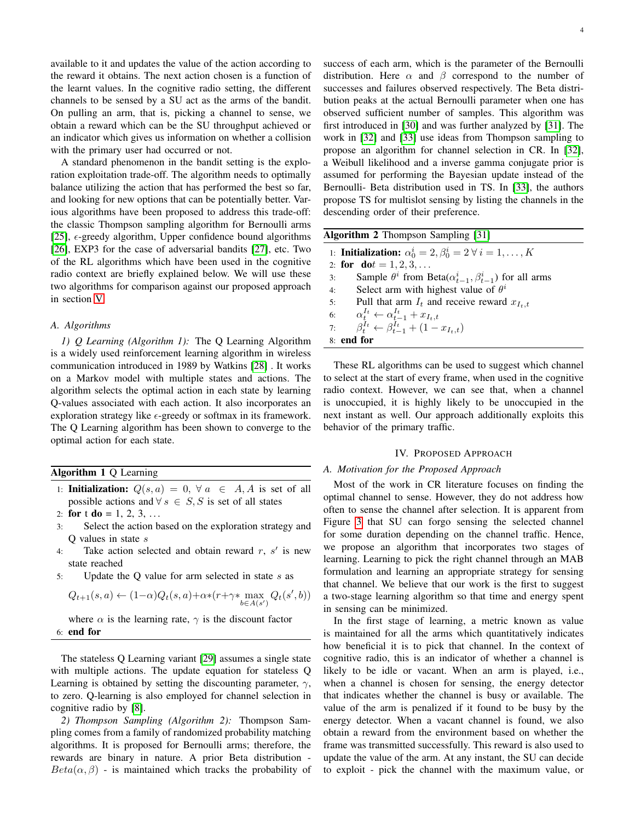available to it and updates the value of the action according to the reward it obtains. The next action chosen is a function of the learnt values. In the cognitive radio setting, the different channels to be sensed by a SU act as the arms of the bandit. On pulling an arm, that is, picking a channel to sense, we obtain a reward which can be the SU throughput achieved or an indicator which gives us information on whether a collision with the primary user had occurred or not.

A standard phenomenon in the bandit setting is the exploration exploitation trade-off. The algorithm needs to optimally balance utilizing the action that has performed the best so far, and looking for new options that can be potentially better. Various algorithms have been proposed to address this trade-off: the classic Thompson sampling algorithm for Bernoulli arms [\[25\]](#page-11-14),  $\epsilon$ -greedy algorithm, Upper confidence bound algorithms [\[26\]](#page-11-15), EXP3 for the case of adversarial bandits [\[27\]](#page-11-16), etc. Two of the RL algorithms which have been used in the cognitive radio context are briefly explained below. We will use these two algorithms for comparison against our proposed approach in section [V.](#page-6-0)

# *A. Algorithms*

*1) Q Learning (Algorithm 1):* The Q Learning Algorithm is a widely used reinforcement learning algorithm in wireless communication introduced in 1989 by Watkins [\[28\]](#page-11-17) . It works on a Markov model with multiple states and actions. The algorithm selects the optimal action in each state by learning Q-values associated with each action. It also incorporates an exploration strategy like  $\epsilon$ -greedy or softmax in its framework. The Q Learning algorithm has been shown to converge to the optimal action for each state.

# Algorithm 1 Q Learning

1: **Initialization:**  $Q(s, a) = 0, \forall a \in A, A$  is set of all possible actions and  $\forall s \in S, S$  is set of all states

2: for t do = 1, 2, 3, ...

- 3: Select the action based on the exploration strategy and Q values in state s
- 4: Take action selected and obtain reward  $r, s'$  is new state reached
- 5: Update the Q value for arm selected in state s as

$$
Q_{t+1}(s,a) \leftarrow (1-\alpha)Q_t(s,a) + \alpha * (r + \gamma * \max_{b \in A(s')} Q_t(s',b))
$$

where  $\alpha$  is the learning rate,  $\gamma$  is the discount factor 6: end for

The stateless Q Learning variant [\[29\]](#page-11-18) assumes a single state with multiple actions. The update equation for stateless Q Learning is obtained by setting the discounting parameter,  $\gamma$ , to zero. Q-learning is also employed for channel selection in cognitive radio by [\[8\]](#page-10-5).

*2) Thompson Sampling (Algorithm 2):* Thompson Sampling comes from a family of randomized probability matching algorithms. It is proposed for Bernoulli arms; therefore, the rewards are binary in nature. A prior Beta distribution -  $Beta(\alpha, \beta)$  - is maintained which tracks the probability of success of each arm, which is the parameter of the Bernoulli distribution. Here  $\alpha$  and  $\beta$  correspond to the number of successes and failures observed respectively. The Beta distribution peaks at the actual Bernoulli parameter when one has observed sufficient number of samples. This algorithm was first introduced in [\[30\]](#page-11-19) and was further analyzed by [\[31\]](#page-11-20). The work in [\[32\]](#page-11-21) and [\[33\]](#page-11-22) use ideas from Thompson sampling to propose an algorithm for channel selection in CR. In [\[32\]](#page-11-21), a Weibull likelihood and a inverse gamma conjugate prior is assumed for performing the Bayesian update instead of the Bernoulli- Beta distribution used in TS. In [\[33\]](#page-11-22), the authors propose TS for multislot sensing by listing the channels in the descending order of their preference.

<span id="page-3-1"></span>

| <b>Algorithm 2 Thompson Sampling [31]</b> |  |  |
|-------------------------------------------|--|--|
|                                           |  |  |

1: Initialization:  $\alpha_0^i = 2, \beta_0^i = 2 \ \forall \ i = 1, \ldots, K$ 2: for  $dot = 1, 2, 3, ...$ 3: Sample  $\theta^i$  from Beta $(\alpha_{t-1}^i, \beta_{t-1}^i)$  for all arms 4: Select arm with highest value of  $\theta^i$ 5: Pull that arm  $I_t$  and receive reward  $x_{I_t,t}$ 6:  $\alpha^{I_t}_t \leftarrow \alpha^{I_t}_{t-1} + x_{I_t,t}$ 7:  $\beta_t^{I_t} \leftarrow \beta_{t-1}^{I_t} + (1 - x_{I_t,t})$ 8: end for

These RL algorithms can be used to suggest which channel to select at the start of every frame, when used in the cognitive radio context. However, we can see that, when a channel is unoccupied, it is highly likely to be unoccupied in the next instant as well. Our approach additionally exploits this behavior of the primary traffic.

#### IV. PROPOSED APPROACH

#### <span id="page-3-2"></span><span id="page-3-0"></span>*A. Motivation for the Proposed Approach*

Most of the work in CR literature focuses on finding the optimal channel to sense. However, they do not address how often to sense the channel after selection. It is apparent from Figure [3](#page-2-3) that SU can forgo sensing the selected channel for some duration depending on the channel traffic. Hence, we propose an algorithm that incorporates two stages of learning. Learning to pick the right channel through an MAB formulation and learning an appropriate strategy for sensing that channel. We believe that our work is the first to suggest a two-stage learning algorithm so that time and energy spent in sensing can be minimized.

In the first stage of learning, a metric known as value is maintained for all the arms which quantitatively indicates how beneficial it is to pick that channel. In the context of cognitive radio, this is an indicator of whether a channel is likely to be idle or vacant. When an arm is played, *i.e.*, when a channel is chosen for sensing, the energy detector that indicates whether the channel is busy or available. The value of the arm is penalized if it found to be busy by the energy detector. When a vacant channel is found, we also obtain a reward from the environment based on whether the frame was transmitted successfully. This reward is also used to update the value of the arm. At any instant, the SU can decide to exploit - pick the channel with the maximum value, or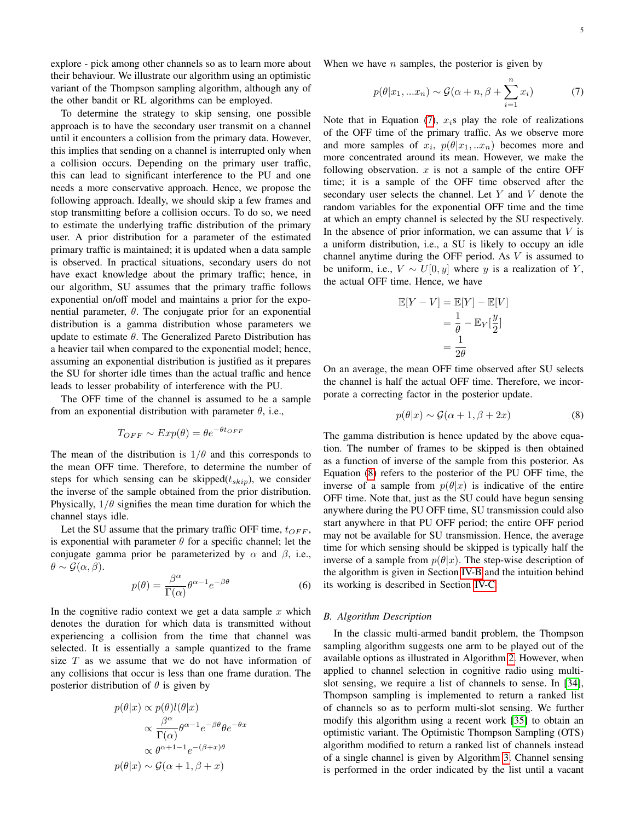explore - pick among other channels so as to learn more about their behaviour. We illustrate our algorithm using an optimistic variant of the Thompson sampling algorithm, although any of the other bandit or RL algorithms can be employed.

To determine the strategy to skip sensing, one possible approach is to have the secondary user transmit on a channel until it encounters a collision from the primary data. However, this implies that sending on a channel is interrupted only when a collision occurs. Depending on the primary user traffic, this can lead to significant interference to the PU and one needs a more conservative approach. Hence, we propose the following approach. Ideally, we should skip a few frames and stop transmitting before a collision occurs. To do so, we need to estimate the underlying traffic distribution of the primary user. A prior distribution for a parameter of the estimated primary traffic is maintained; it is updated when a data sample is observed. In practical situations, secondary users do not have exact knowledge about the primary traffic; hence, in our algorithm, SU assumes that the primary traffic follows exponential on/off model and maintains a prior for the exponential parameter,  $\theta$ . The conjugate prior for an exponential distribution is a gamma distribution whose parameters we update to estimate  $\theta$ . The Generalized Pareto Distribution has a heavier tail when compared to the exponential model; hence, assuming an exponential distribution is justified as it prepares the SU for shorter idle times than the actual traffic and hence leads to lesser probability of interference with the PU.

The OFF time of the channel is assumed to be a sample from an exponential distribution with parameter  $\theta$ , i.e.,

$$
T_{OFF} \sim Exp(\theta) = \theta e^{-\theta t_{OFF}}
$$

The mean of the distribution is  $1/\theta$  and this corresponds to the mean OFF time. Therefore, to determine the number of steps for which sensing can be skipped( $t_{skip}$ ), we consider the inverse of the sample obtained from the prior distribution. Physically,  $1/\theta$  signifies the mean time duration for which the channel stays idle.

Let the SU assume that the primary traffic OFF time,  $t_{OFF}$ , is exponential with parameter  $\theta$  for a specific channel; let the conjugate gamma prior be parameterized by  $\alpha$  and  $\beta$ , i.e.,  $\theta \sim \mathcal{G}(\alpha, \beta).$ 

$$
p(\theta) = \frac{\beta^{\alpha}}{\Gamma(\alpha)} \theta^{\alpha - 1} e^{-\beta \theta}
$$
 (6)

In the cognitive radio context we get a data sample  $x$  which denotes the duration for which data is transmitted without experiencing a collision from the time that channel was selected. It is essentially a sample quantized to the frame size  $T$  as we assume that we do not have information of any collisions that occur is less than one frame duration. The posterior distribution of  $\theta$  is given by

$$
p(\theta|x) \propto p(\theta)l(\theta|x)
$$

$$
\propto \frac{\beta^{\alpha}}{\Gamma(\alpha)} \theta^{\alpha-1} e^{-\beta \theta} \theta e^{-\theta x}
$$

$$
\propto \theta^{\alpha+1-1} e^{-(\beta+x)\theta}
$$

$$
p(\theta|x) \sim \mathcal{G}(\alpha+1, \beta+x)
$$

When we have  $n$  samples, the posterior is given by

<span id="page-4-0"></span>
$$
p(\theta|x_1,...x_n) \sim \mathcal{G}(\alpha+n, \beta+\sum_{i=1}^n x_i)
$$
 (7)

Note that in Equation [\(7\)](#page-4-0),  $x_i$ s play the role of realizations of the OFF time of the primary traffic. As we observe more and more samples of  $x_i$ ,  $p(\theta|x_1, ... x_n)$  becomes more and more concentrated around its mean. However, we make the following observation.  $x$  is not a sample of the entire OFF time; it is a sample of the OFF time observed after the secondary user selects the channel. Let Y and V denote the random variables for the exponential OFF time and the time at which an empty channel is selected by the SU respectively. In the absence of prior information, we can assume that  $V$  is a uniform distribution, i.e., a SU is likely to occupy an idle channel anytime during the OFF period. As  $V$  is assumed to be uniform, i.e.,  $V \sim U[0, y]$  where y is a realization of Y, the actual OFF time. Hence, we have

$$
\mathbb{E}[Y - V] = \mathbb{E}[Y] - \mathbb{E}[V]
$$

$$
= \frac{1}{\theta} - \mathbb{E}_Y[\frac{y}{2}]
$$

$$
= \frac{1}{2\theta}
$$

On an average, the mean OFF time observed after SU selects the channel is half the actual OFF time. Therefore, we incorporate a correcting factor in the posterior update.

<span id="page-4-1"></span>
$$
p(\theta|x) \sim \mathcal{G}(\alpha + 1, \beta + 2x) \tag{8}
$$

The gamma distribution is hence updated by the above equation. The number of frames to be skipped is then obtained as a function of inverse of the sample from this posterior. As Equation [\(8\)](#page-4-1) refers to the posterior of the PU OFF time, the inverse of a sample from  $p(\theta|x)$  is indicative of the entire OFF time. Note that, just as the SU could have begun sensing anywhere during the PU OFF time, SU transmission could also start anywhere in that PU OFF period; the entire OFF period may not be available for SU transmission. Hence, the average time for which sensing should be skipped is typically half the inverse of a sample from  $p(\theta|x)$ . The step-wise description of the algorithm is given in Section [IV-B](#page-4-2) and the intuition behind its working is described in Section [IV-C.](#page-5-0)

## <span id="page-4-2"></span>*B. Algorithm Description*

In the classic multi-armed bandit problem, the Thompson sampling algorithm suggests one arm to be played out of the available options as illustrated in Algorithm [2.](#page-3-1) However, when applied to channel selection in cognitive radio using multislot sensing, we require a list of channels to sense. In [\[34\]](#page-11-23), Thompson sampling is implemented to return a ranked list of channels so as to perform multi-slot sensing. We further modify this algorithm using a recent work [\[35\]](#page-11-24) to obtain an optimistic variant. The Optimistic Thompson Sampling (OTS) algorithm modified to return a ranked list of channels instead of a single channel is given by Algorithm [3.](#page-5-1) Channel sensing is performed in the order indicated by the list until a vacant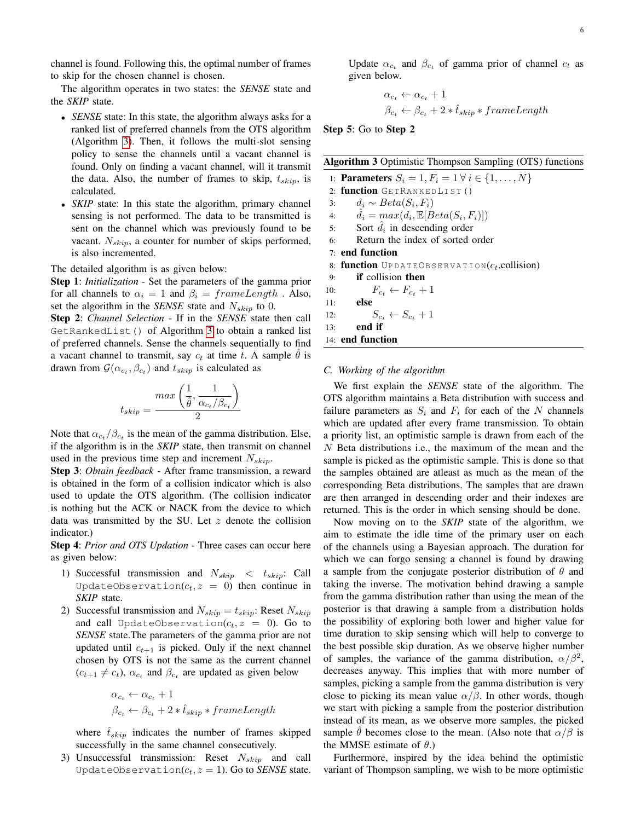channel is found. Following this, the optimal number of frames to skip for the chosen channel is chosen.

The algorithm operates in two states: the *SENSE* state and the *SKIP* state.

- *SENSE* state: In this state, the algorithm always asks for a ranked list of preferred channels from the OTS algorithm (Algorithm [3\)](#page-5-1). Then, it follows the multi-slot sensing policy to sense the channels until a vacant channel is found. Only on finding a vacant channel, will it transmit the data. Also, the number of frames to skip,  $t_{skip}$ , is calculated.
- *SKIP* state: In this state the algorithm, primary channel sensing is not performed. The data to be transmitted is sent on the channel which was previously found to be vacant.  $N_{skip}$ , a counter for number of skips performed, is also incremented.

The detailed algorithm is as given below:

Step 1: *Initialization* - Set the parameters of the gamma prior for all channels to  $\alpha_i = 1$  and  $\beta_i = frameLength$ . Also, set the algorithm in the *SENSE* state and  $N_{skip}$  to 0.

Step 2: *Channel Selection* - If in the *SENSE* state then call GetRankedList() of Algorithm [3](#page-5-1) to obtain a ranked list of preferred channels. Sense the channels sequentially to find a vacant channel to transmit, say  $c_t$  at time t. A sample  $\theta$  is drawn from  $\mathcal{G}(\alpha_{c_t}, \beta_{c_t})$  and  $t_{skip}$  is calculated as

$$
t_{skip} = \frac{max\left(\frac{1}{\hat{\theta}}, \frac{1}{\alpha_{c_t}/\beta_{c_t}}\right)}{2}
$$

Note that  $\alpha_{c_t}/\beta_{c_t}$  is the mean of the gamma distribution. Else, if the algorithm is in the *SKIP* state, then transmit on channel used in the previous time step and increment  $N_{skip}$ .

Step 3: *Obtain feedback* - After frame transmission, a reward is obtained in the form of a collision indicator which is also used to update the OTS algorithm. (The collision indicator is nothing but the ACK or NACK from the device to which data was transmitted by the SU. Let  $z$  denote the collision indicator.)

Step 4: *Prior and OTS Updation* - Three cases can occur here as given below:

- 1) Successful transmission and  $N_{skip} < t_{skip}$ : Call UpdateObservation( $c_t$ ,  $z = 0$ ) then continue in *SKIP* state.
- 2) Successful transmission and  $N_{skip} = t_{skip}$ : Reset  $N_{skip}$ and call UpdateObservation( $c_t$ ,  $z = 0$ ). Go to *SENSE* state.The parameters of the gamma prior are not updated until  $c_{t+1}$  is picked. Only if the next channel chosen by OTS is not the same as the current channel  $(c_{t+1} \neq c_t)$ ,  $\alpha_{c_t}$  and  $\beta_{c_t}$  are updated as given below

$$
\alpha_{c_t} \leftarrow \alpha_{c_t} + 1
$$
  

$$
\beta_{c_t} \leftarrow \beta_{c_t} + 2 * \hat{t}_{skip} * frameLength
$$

where  $t_{skip}$  indicates the number of frames skipped successfully in the same channel consecutively.

3) Unsuccessful transmission: Reset  $N_{skip}$  and call UpdateObservation $(c_t, z = 1)$ . Go to *SENSE* state.

Update  $\alpha_{c_t}$  and  $\beta_{c_t}$  of gamma prior of channel  $c_t$  as given below.

$$
\alpha_{c_t} \leftarrow \alpha_{c_t} + 1
$$
  

$$
\beta_{c_t} \leftarrow \beta_{c_t} + 2 * \hat{t}_{skip} * frameLength
$$

Step 5: Go to Step 2

<span id="page-5-1"></span>Algorithm 3 Optimistic Thompson Sampling (OTS) functions

1: **Parameters**  $S_i = 1, F_i = 1 \forall i \in \{1, ..., N\}$ 2: function GETRANKEDLIST () 3:  $d_i \sim Beta(S_i, F_i)$ 4:  $\hat{d}_i = max(d_i, \mathbb{E}[Beta(S_i, F_i)])$ 5: Sort  $\hat{d}_i$  in descending order 6: Return the index of sorted order 7: end function 8: function UP DATEOBSERVATION( $c_t$ , collision) 9: if collision then 10:  $F_{c_t} \leftarrow F_{c_t} + 1$ 11: else 12:  $S_{c_t} \leftarrow S_{c_t} + 1$ 13: end if 14: end function

## <span id="page-5-0"></span>*C. Working of the algorithm*

We first explain the *SENSE* state of the algorithm. The OTS algorithm maintains a Beta distribution with success and failure parameters as  $S_i$  and  $F_i$  for each of the N channels which are updated after every frame transmission. To obtain a priority list, an optimistic sample is drawn from each of the N Beta distributions i.e., the maximum of the mean and the sample is picked as the optimistic sample. This is done so that the samples obtained are atleast as much as the mean of the corresponding Beta distributions. The samples that are drawn are then arranged in descending order and their indexes are returned. This is the order in which sensing should be done.

Now moving on to the *SKIP* state of the algorithm, we aim to estimate the idle time of the primary user on each of the channels using a Bayesian approach. The duration for which we can forgo sensing a channel is found by drawing a sample from the conjugate posterior distribution of  $\theta$  and taking the inverse. The motivation behind drawing a sample from the gamma distribution rather than using the mean of the posterior is that drawing a sample from a distribution holds the possibility of exploring both lower and higher value for time duration to skip sensing which will help to converge to the best possible skip duration. As we observe higher number of samples, the variance of the gamma distribution,  $\alpha/\beta^2$ , decreases anyway. This implies that with more number of samples, picking a sample from the gamma distribution is very close to picking its mean value  $\alpha/\beta$ . In other words, though we start with picking a sample from the posterior distribution instead of its mean, as we observe more samples, the picked sample  $\theta$  becomes close to the mean. (Also note that  $\alpha/\beta$  is the MMSE estimate of  $\theta$ .)

Furthermore, inspired by the idea behind the optimistic variant of Thompson sampling, we wish to be more optimistic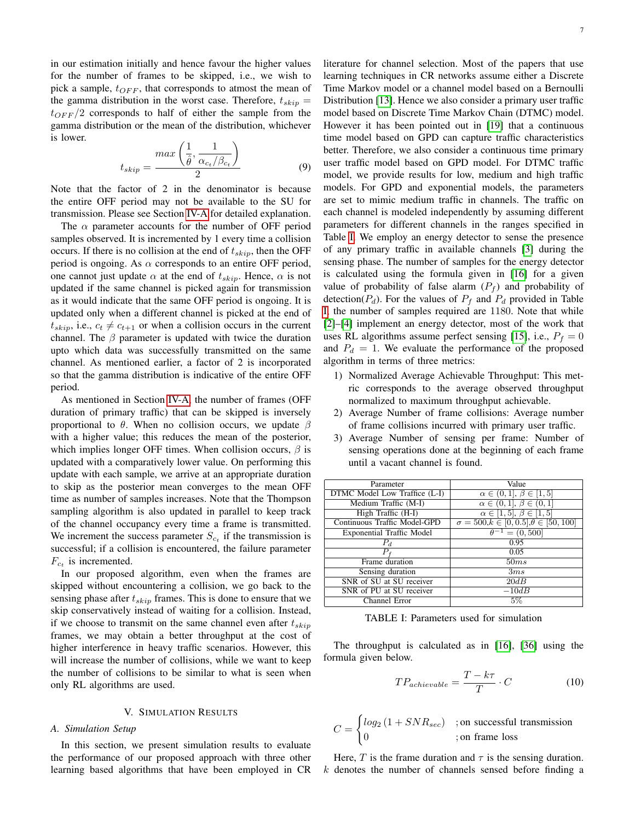in our estimation initially and hence favour the higher values for the number of frames to be skipped, i.e., we wish to pick a sample,  $t_{OFF}$ , that corresponds to atmost the mean of the gamma distribution in the worst case. Therefore,  $t_{skip} =$  $t_{OFF}/2$  corresponds to half of either the sample from the gamma distribution or the mean of the distribution, whichever is lower.

$$
t_{skip} = \frac{max\left(\frac{1}{\hat{\theta}}, \frac{1}{\alpha_{c_t}/\beta_{c_t}}\right)}{2} \tag{9}
$$

Note that the factor of 2 in the denominator is because the entire OFF period may not be available to the SU for transmission. Please see Section [IV-A](#page-3-2) for detailed explanation.

The  $\alpha$  parameter accounts for the number of OFF period samples observed. It is incremented by 1 every time a collision occurs. If there is no collision at the end of  $t_{skip}$ , then the OFF period is ongoing. As  $\alpha$  corresponds to an entire OFF period, one cannot just update  $\alpha$  at the end of  $t_{skip}$ . Hence,  $\alpha$  is not updated if the same channel is picked again for transmission as it would indicate that the same OFF period is ongoing. It is updated only when a different channel is picked at the end of  $t_{skip}$ , i.e.,  $c_t \neq c_{t+1}$  or when a collision occurs in the current channel. The  $\beta$  parameter is updated with twice the duration upto which data was successfully transmitted on the same channel. As mentioned earlier, a factor of 2 is incorporated so that the gamma distribution is indicative of the entire OFF period.

As mentioned in Section [IV-A,](#page-3-2) the number of frames (OFF duration of primary traffic) that can be skipped is inversely proportional to θ. When no collision occurs, we update  $β$ with a higher value; this reduces the mean of the posterior, which implies longer OFF times. When collision occurs,  $\beta$  is updated with a comparatively lower value. On performing this update with each sample, we arrive at an appropriate duration to skip as the posterior mean converges to the mean OFF time as number of samples increases. Note that the Thompson sampling algorithm is also updated in parallel to keep track of the channel occupancy every time a frame is transmitted. We increment the success parameter  $S_{c<sub>t</sub>}$  if the transmission is successful; if a collision is encountered, the failure parameter  $F_{c_t}$  is incremented.

In our proposed algorithm, even when the frames are skipped without encountering a collision, we go back to the sensing phase after  $t_{skip}$  frames. This is done to ensure that we skip conservatively instead of waiting for a collision. Instead, if we choose to transmit on the same channel even after  $t_{skip}$ frames, we may obtain a better throughput at the cost of higher interference in heavy traffic scenarios. However, this will increase the number of collisions, while we want to keep the number of collisions to be similar to what is seen when only RL algorithms are used.

## V. SIMULATION RESULTS

# <span id="page-6-0"></span>*A. Simulation Setup*

In this section, we present simulation results to evaluate the performance of our proposed approach with three other learning based algorithms that have been employed in CR literature for channel selection. Most of the papers that use learning techniques in CR networks assume either a Discrete Time Markov model or a channel model based on a Bernoulli Distribution [\[13\]](#page-11-25). Hence we also consider a primary user traffic model based on Discrete Time Markov Chain (DTMC) model. However it has been pointed out in [\[19\]](#page-11-8) that a continuous time model based on GPD can capture traffic characteristics better. Therefore, we also consider a continuous time primary user traffic model based on GPD model. For DTMC traffic model, we provide results for low, medium and high traffic models. For GPD and exponential models, the parameters are set to mimic medium traffic in channels. The traffic on each channel is modeled independently by assuming different parameters for different channels in the ranges specified in Table [I.](#page-6-1) We employ an energy detector to sense the presence of any primary traffic in available channels [\[3\]](#page-10-8) during the sensing phase. The number of samples for the energy detector is calculated using the formula given in [\[16\]](#page-11-5) for a given value of probability of false alarm  $(P_f)$  and probability of detection( $P_d$ ). For the values of  $P_f$  and  $P_d$  provided in Table [I,](#page-6-1) the number of samples required are 1180. Note that while [\[2\]](#page-10-1)–[\[4\]](#page-10-9) implement an energy detector, most of the work that uses RL algorithms assume perfect sensing [\[15\]](#page-11-4), i.e.,  $P_f = 0$ and  $P_d = 1$ . We evaluate the performance of the proposed algorithm in terms of three metrics:

- 1) Normalized Average Achievable Throughput: This metric corresponds to the average observed throughput normalized to maximum throughput achievable.
- 2) Average Number of frame collisions: Average number of frame collisions incurred with primary user traffic.
- 3) Average Number of sensing per frame: Number of sensing operations done at the beginning of each frame until a vacant channel is found.

<span id="page-6-1"></span>

| Parameter                        | Value                                                |
|----------------------------------|------------------------------------------------------|
| DTMC Model Low Traffice (L-I)    | $\alpha \in (0,1], \beta \in [1,5]$                  |
| Medium Traffic (M-I)             | $\alpha \in (0,1], \beta \in (0,1]$                  |
| High Traffic (H-I)               | $\alpha \in [1, 5], \beta \in [1, 5]$                |
| Continuous Traffic Model-GPD     | $\sigma = 500, k \in [0, 0.5], \theta \in [50, 100]$ |
| <b>Exponential Traffic Model</b> | $= (0, 500]$<br>$\theta^-$                           |
| $P_d$                            | 0.95                                                 |
|                                  | 0.05                                                 |
| Frame duration                   | 50ms                                                 |
| Sensing duration                 | 3ms                                                  |
| SNR of SU at SU receiver         | 20dB                                                 |
| SNR of PU at SU receiver         | $-10dB$                                              |
| Channel Error                    | 5%                                                   |

TABLE I: Parameters used for simulation

The throughput is calculated as in [\[16\]](#page-11-5), [\[36\]](#page-11-26) using the formula given below.

$$
TP_{achievable} = \frac{T - k\tau}{T} \cdot C \tag{10}
$$

$$
C = \begin{cases} \log_2\left(1 + SNR_{sec}\right) & ; \text{on successful transmission} \\ 0 & ; \text{on frame loss} \end{cases}
$$

Here, T is the frame duration and  $\tau$  is the sensing duration.  $k$  denotes the number of channels sensed before finding a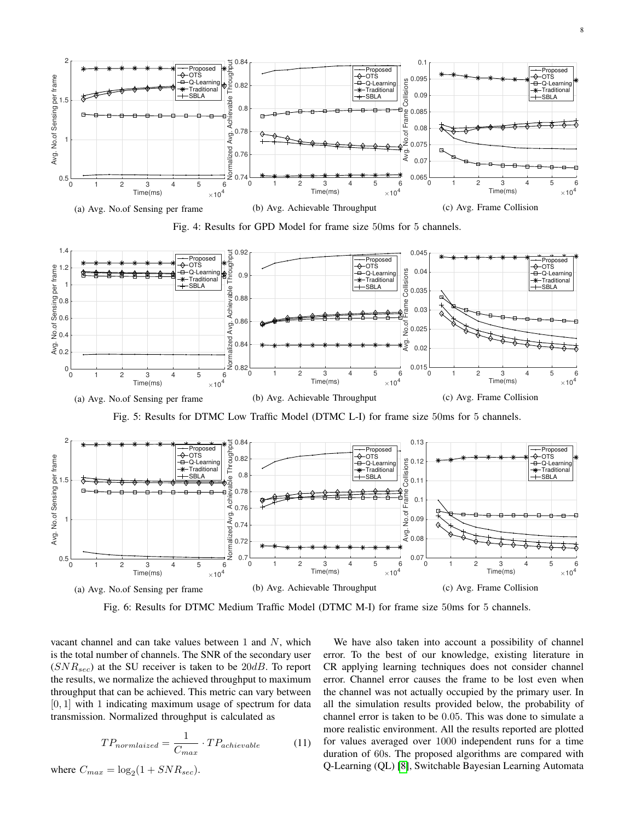<span id="page-7-0"></span>

Fig. 4: Results for GPD Model for frame size 50ms for 5 channels.

<span id="page-7-1"></span>

Fig. 5: Results for DTMC Low Traffic Model (DTMC L-I) for frame size 50ms for 5 channels.



Fig. 6: Results for DTMC Medium Traffic Model (DTMC M-I) for frame size 50ms for 5 channels.

vacant channel and can take values between 1 and  $N$ , which is the total number of channels. The SNR of the secondary user  $(SNR_{sec})$  at the SU receiver is taken to be 20dB. To report the results, we normalize the achieved throughput to maximum throughput that can be achieved. This metric can vary between  $[0, 1]$  with 1 indicating maximum usage of spectrum for data transmission. Normalized throughput is calculated as

$$
TP_{normalized} = \frac{1}{C_{max}} \cdot TP_{achievable} \tag{11}
$$

where  $C_{max} = \log_2(1 + SNR_{sec})$ .

We have also taken into account a possibility of channel error. To the best of our knowledge, existing literature in CR applying learning techniques does not consider channel error. Channel error causes the frame to be lost even when the channel was not actually occupied by the primary user. In all the simulation results provided below, the probability of channel error is taken to be 0.05. This was done to simulate a more realistic environment. All the results reported are plotted for values averaged over 1000 independent runs for a time duration of 60s. The proposed algorithms are compared with Q-Learning (QL) [\[8\]](#page-10-5), Switchable Bayesian Learning Automata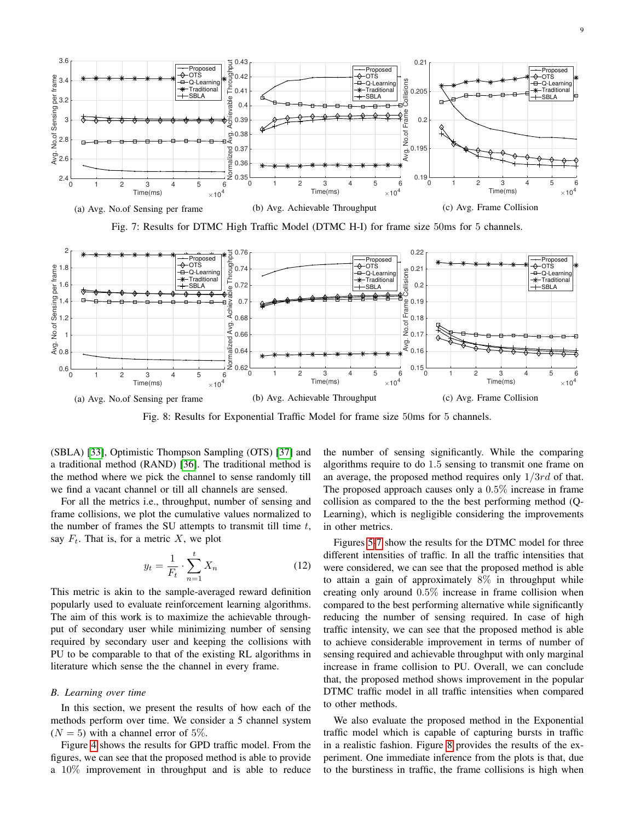<span id="page-8-0"></span>

Fig. 7: Results for DTMC High Traffic Model (DTMC H-I) for frame size 50ms for 5 channels.

<span id="page-8-1"></span>

Fig. 8: Results for Exponential Traffic Model for frame size 50ms for 5 channels.

(SBLA) [\[33\]](#page-11-22), Optimistic Thompson Sampling (OTS) [\[37\]](#page-11-27) and a traditional method (RAND) [\[36\]](#page-11-26). The traditional method is the method where we pick the channel to sense randomly till we find a vacant channel or till all channels are sensed.

For all the metrics i.e., throughput, number of sensing and frame collisions, we plot the cumulative values normalized to the number of frames the SU attempts to transmit till time  $t$ , say  $F_t$ . That is, for a metric X, we plot

$$
y_t = \frac{1}{F_t} \cdot \sum_{n=1}^t X_n
$$
 (12)

This metric is akin to the sample-averaged reward definition popularly used to evaluate reinforcement learning algorithms. The aim of this work is to maximize the achievable throughput of secondary user while minimizing number of sensing required by secondary user and keeping the collisions with PU to be comparable to that of the existing RL algorithms in literature which sense the the channel in every frame.

#### *B. Learning over time*

In this section, we present the results of how each of the methods perform over time. We consider a 5 channel system  $(N = 5)$  with a channel error of 5%.

Figure [4](#page-7-0) shows the results for GPD traffic model. From the figures, we can see that the proposed method is able to provide a 10% improvement in throughput and is able to reduce the number of sensing significantly. While the comparing algorithms require to do 1.5 sensing to transmit one frame on an average, the proposed method requires only  $1/3rd$  of that. The proposed approach causes only a 0.5% increase in frame collision as compared to the the best performing method (Q-Learning), which is negligible considering the improvements in other metrics.

Figures [5-](#page-7-1)[7](#page-8-0) show the results for the DTMC model for three different intensities of traffic. In all the traffic intensities that were considered, we can see that the proposed method is able to attain a gain of approximately 8% in throughput while creating only around 0.5% increase in frame collision when compared to the best performing alternative while significantly reducing the number of sensing required. In case of high traffic intensity, we can see that the proposed method is able to achieve considerable improvement in terms of number of sensing required and achievable throughput with only marginal increase in frame collision to PU. Overall, we can conclude that, the proposed method shows improvement in the popular DTMC traffic model in all traffic intensities when compared to other methods.

We also evaluate the proposed method in the Exponential traffic model which is capable of capturing bursts in traffic in a realistic fashion. Figure [8](#page-8-1) provides the results of the experiment. One immediate inference from the plots is that, due to the burstiness in traffic, the frame collisions is high when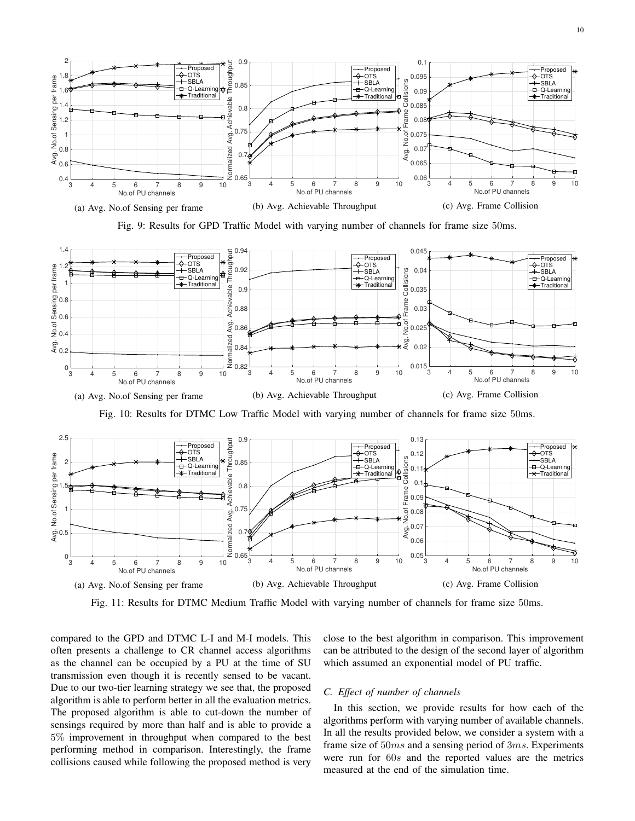<span id="page-9-0"></span>

Fig. 9: Results for GPD Traffic Model with varying number of channels for frame size 50ms.

<span id="page-9-1"></span>

Fig. 10: Results for DTMC Low Traffic Model with varying number of channels for frame size 50ms.

<span id="page-9-2"></span>

Fig. 11: Results for DTMC Medium Traffic Model with varying number of channels for frame size 50ms.

compared to the GPD and DTMC L-I and M-I models. This often presents a challenge to CR channel access algorithms as the channel can be occupied by a PU at the time of SU transmission even though it is recently sensed to be vacant. Due to our two-tier learning strategy we see that, the proposed algorithm is able to perform better in all the evaluation metrics. The proposed algorithm is able to cut-down the number of sensings required by more than half and is able to provide a 5% improvement in throughput when compared to the best performing method in comparison. Interestingly, the frame collisions caused while following the proposed method is very close to the best algorithm in comparison. This improvement can be attributed to the design of the second layer of algorithm which assumed an exponential model of PU traffic.

## *C. Effect of number of channels*

In this section, we provide results for how each of the algorithms perform with varying number of available channels. In all the results provided below, we consider a system with a frame size of 50ms and a sensing period of 3ms. Experiments were run for 60s and the reported values are the metrics measured at the end of the simulation time.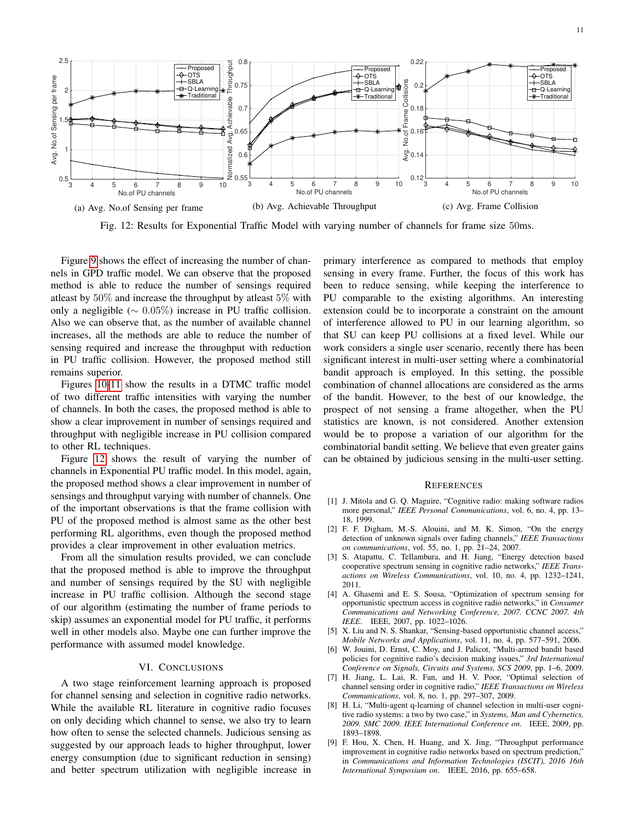<span id="page-10-10"></span>

Fig. 12: Results for Exponential Traffic Model with varying number of channels for frame size 50ms.

Figure [9](#page-9-0) shows the effect of increasing the number of channels in GPD traffic model. We can observe that the proposed method is able to reduce the number of sensings required atleast by 50% and increase the throughput by atleast 5% with only a negligible ( $\sim 0.05\%$ ) increase in PU traffic collision. Also we can observe that, as the number of available channel increases, all the methods are able to reduce the number of sensing required and increase the throughput with reduction in PU traffic collision. However, the proposed method still remains superior.

Figures [10](#page-9-1)[-11](#page-9-2) show the results in a DTMC traffic model of two different traffic intensities with varying the number of channels. In both the cases, the proposed method is able to show a clear improvement in number of sensings required and throughput with negligible increase in PU collision compared to other RL techniques.

Figure [12](#page-10-10) shows the result of varying the number of channels in Exponential PU traffic model. In this model, again, the proposed method shows a clear improvement in number of sensings and throughput varying with number of channels. One of the important observations is that the frame collision with PU of the proposed method is almost same as the other best performing RL algorithms, even though the proposed method provides a clear improvement in other evaluation metrics.

From all the simulation results provided, we can conclude that the proposed method is able to improve the throughput and number of sensings required by the SU with negligible increase in PU traffic collision. Although the second stage of our algorithm (estimating the number of frame periods to skip) assumes an exponential model for PU traffic, it performs well in other models also. Maybe one can further improve the performance with assumed model knowledge.

# VI. CONCLUSIONS

<span id="page-10-7"></span>A two stage reinforcement learning approach is proposed for channel sensing and selection in cognitive radio networks. While the available RL literature in cognitive radio focuses on only deciding which channel to sense, we also try to learn how often to sense the selected channels. Judicious sensing as suggested by our approach leads to higher throughput, lower energy consumption (due to significant reduction in sensing) and better spectrum utilization with negligible increase in primary interference as compared to methods that employ sensing in every frame. Further, the focus of this work has been to reduce sensing, while keeping the interference to PU comparable to the existing algorithms. An interesting extension could be to incorporate a constraint on the amount of interference allowed to PU in our learning algorithm, so that SU can keep PU collisions at a fixed level. While our work considers a single user scenario, recently there has been significant interest in multi-user setting where a combinatorial bandit approach is employed. In this setting, the possible combination of channel allocations are considered as the arms of the bandit. However, to the best of our knowledge, the prospect of not sensing a frame altogether, when the PU statistics are known, is not considered. Another extension would be to propose a variation of our algorithm for the combinatorial bandit setting. We believe that even greater gains can be obtained by judicious sensing in the multi-user setting.

## **REFERENCES**

- <span id="page-10-0"></span>[1] J. Mitola and G. Q. Maguire, "Cognitive radio: making software radios more personal," *IEEE Personal Communications*, vol. 6, no. 4, pp. 13– 18, 1999.
- <span id="page-10-1"></span>[2] F. F. Digham, M.-S. Alouini, and M. K. Simon, "On the energy detection of unknown signals over fading channels," *IEEE Transactions on communications*, vol. 55, no. 1, pp. 21–24, 2007.
- <span id="page-10-8"></span>[3] S. Atapattu, C. Tellambura, and H. Jiang, "Energy detection based cooperative spectrum sensing in cognitive radio networks," *IEEE Transactions on Wireless Communications*, vol. 10, no. 4, pp. 1232–1241, 2011.
- <span id="page-10-9"></span>[4] A. Ghasemi and E. S. Sousa, "Optimization of spectrum sensing for opportunistic spectrum access in cognitive radio networks," in *Consumer Communications and Networking Conference, 2007. CCNC 2007. 4th IEEE*. IEEE, 2007, pp. 1022–1026.
- <span id="page-10-2"></span>[5] X. Liu and N. S. Shankar, "Sensing-based opportunistic channel access," *Mobile Networks and Applications*, vol. 11, no. 4, pp. 577–591, 2006.
- <span id="page-10-3"></span>[6] W. Jouini, D. Ernst, C. Moy, and J. Palicot, "Multi-armed bandit based policies for cognitive radio's decision making issues," *3rd International Conference on Signals, Circuits and Systems, SCS 2009*, pp. 1–6, 2009.
- <span id="page-10-4"></span>[7] H. Jiang, L. Lai, R. Fan, and H. V. Poor, "Optimal selection of channel sensing order in cognitive radio," *IEEE Transactions on Wireless Communications*, vol. 8, no. 1, pp. 297–307, 2009.
- <span id="page-10-5"></span>[8] H. Li, "Multi-agent q-learning of channel selection in multi-user cognitive radio systems: a two by two case," in *Systems, Man and Cybernetics, 2009. SMC 2009. IEEE International Conference on*. IEEE, 2009, pp. 1893–1898.
- <span id="page-10-6"></span>[9] F. Hou, X. Chen, H. Huang, and X. Jing, "Throughput performance improvement in cognitive radio networks based on spectrum prediction," in *Communications and Information Technologies (ISCIT), 2016 16th International Symposium on*. IEEE, 2016, pp. 655–658.